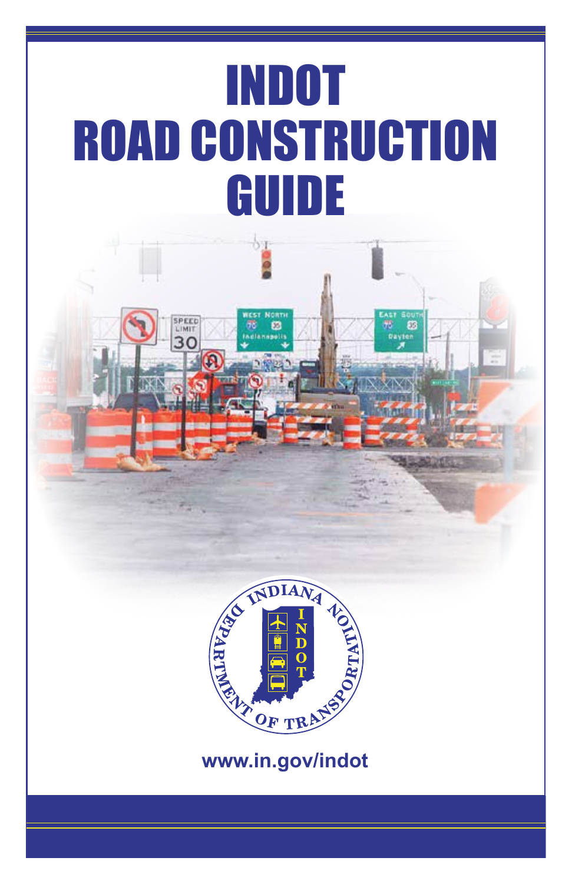# INDOT ROAD CONSTRUCTION GUIDE

IMIT 30



**www.in.gov/indot**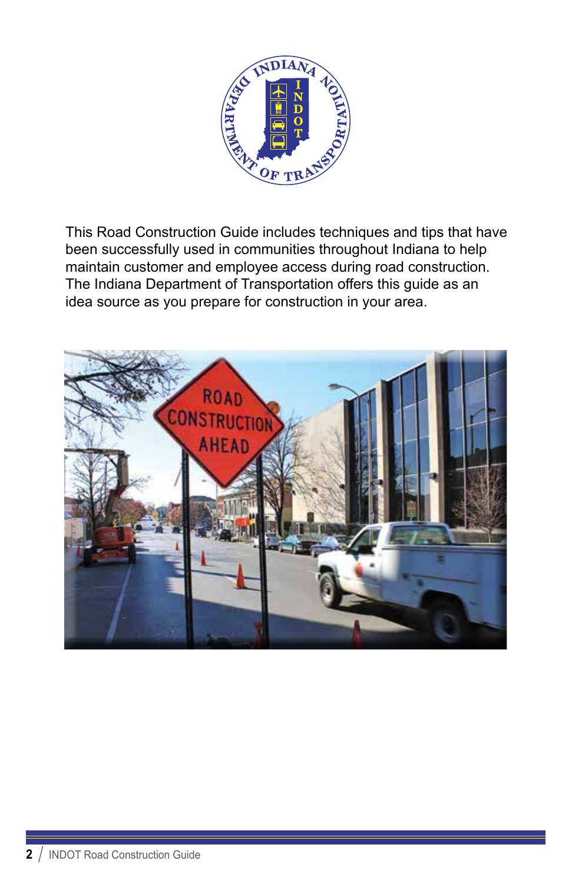

This Road Construction Guide includes techniques and tips that have been successfully used in communities throughout Indiana to help maintain customer and employee access during road construction. The Indiana Department of Transportation offers this guide as an idea source as you prepare for construction in your area.

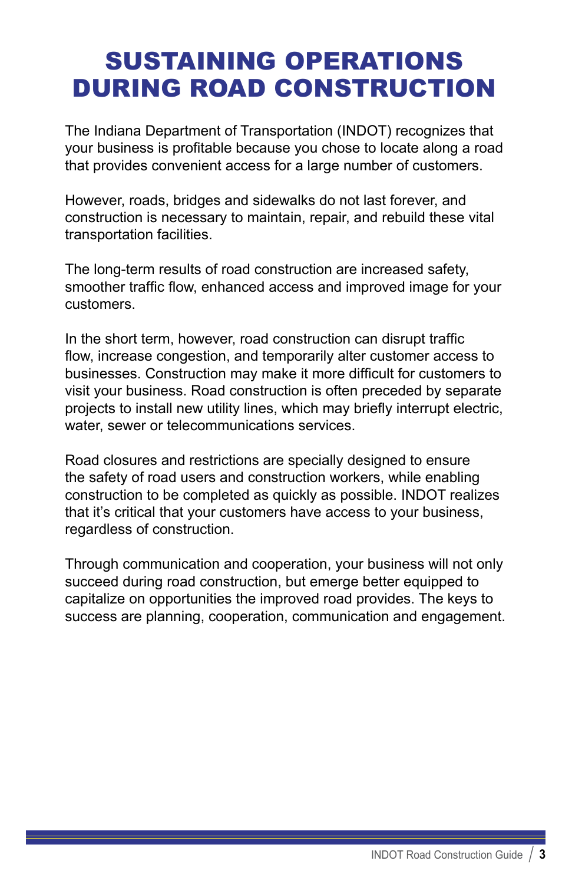# SUSTAINING OPERATIONS DURING ROAD CONSTRUCTION

The Indiana Department of Transportation (INDOT) recognizes that your business is profitable because you chose to locate along a road that provides convenient access for a large number of customers.

However, roads, bridges and sidewalks do not last forever, and construction is necessary to maintain, repair, and rebuild these vital transportation facilities.

The long-term results of road construction are increased safety, smoother traffic flow, enhanced access and improved image for your customers.

In the short term, however, road construction can disrupt traffic flow, increase congestion, and temporarily alter customer access to businesses. Construction may make it more difficult for customers to visit your business. Road construction is often preceded by separate projects to install new utility lines, which may briefly interrupt electric, water, sewer or telecommunications services.

Road closures and restrictions are specially designed to ensure the safety of road users and construction workers, while enabling construction to be completed as quickly as possible. INDOT realizes that it's critical that your customers have access to your business, regardless of construction.

Through communication and cooperation, your business will not only succeed during road construction, but emerge better equipped to capitalize on opportunities the improved road provides. The keys to success are planning, cooperation, communication and engagement.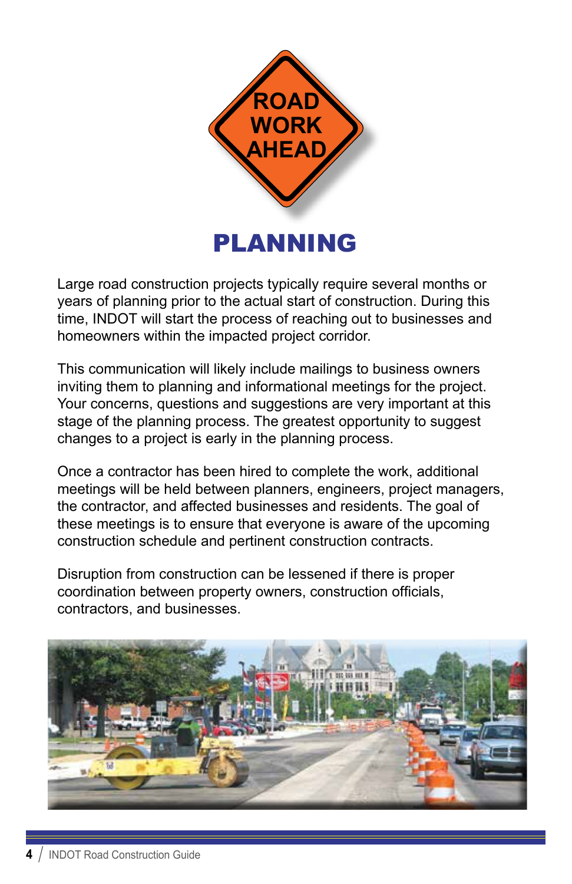

Large road construction projects typically require several months or years of planning prior to the actual start of construction. During this time, INDOT will start the process of reaching out to businesses and homeowners within the impacted project corridor.

This communication will likely include mailings to business owners inviting them to planning and informational meetings for the project. Your concerns, questions and suggestions are very important at this stage of the planning process. The greatest opportunity to suggest changes to a project is early in the planning process.

Once a contractor has been hired to complete the work, additional meetings will be held between planners, engineers, project managers, the contractor, and affected businesses and residents. The goal of these meetings is to ensure that everyone is aware of the upcoming construction schedule and pertinent construction contracts.

Disruption from construction can be lessened if there is proper coordination between property owners, construction officials, contractors, and businesses.

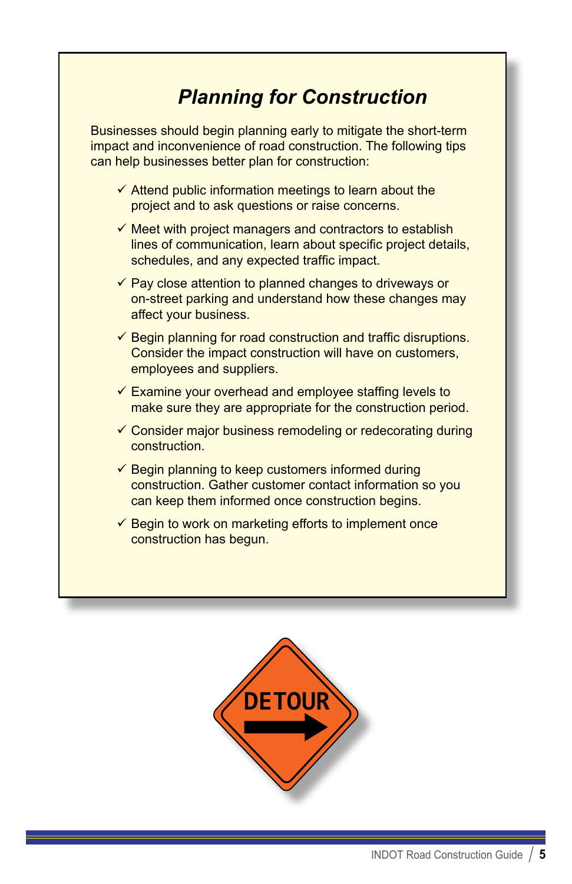## *Planning for Construction*

Businesses should begin planning early to mitigate the short-term impact and inconvenience of road construction. The following tips can help businesses better plan for construction:

- $\checkmark$  Attend public information meetings to learn about the project and to ask questions or raise concerns.
- $\checkmark$  Meet with project managers and contractors to establish lines of communication, learn about specific project details, schedules, and any expected traffic impact.
- $\checkmark$  Pay close attention to planned changes to driveways or on-street parking and understand how these changes may affect your business.
- $\checkmark$  Begin planning for road construction and traffic disruptions. Consider the impact construction will have on customers, employees and suppliers.
- $\checkmark$  Examine your overhead and employee staffing levels to make sure they are appropriate for the construction period.
- $\checkmark$  Consider major business remodeling or redecorating during construction.
- $\checkmark$  Begin planning to keep customers informed during construction. Gather customer contact information so you can keep them informed once construction begins.
- $\checkmark$  Begin to work on marketing efforts to implement once construction has begun.

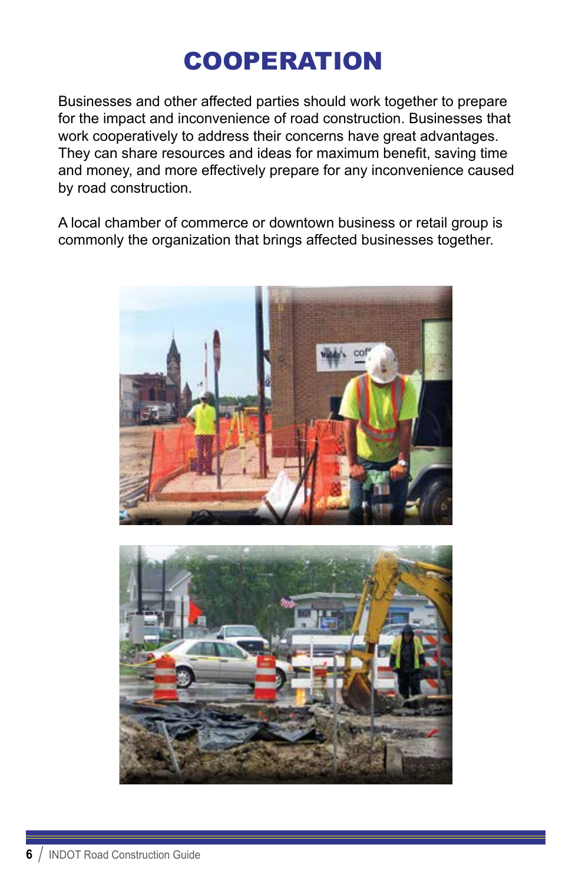# **COOPERATION**

Businesses and other affected parties should work together to prepare for the impact and inconvenience of road construction. Businesses that work cooperatively to address their concerns have great advantages. They can share resources and ideas for maximum benefit, saving time and money, and more effectively prepare for any inconvenience caused by road construction.

A local chamber of commerce or downtown business or retail group is commonly the organization that brings affected businesses together.



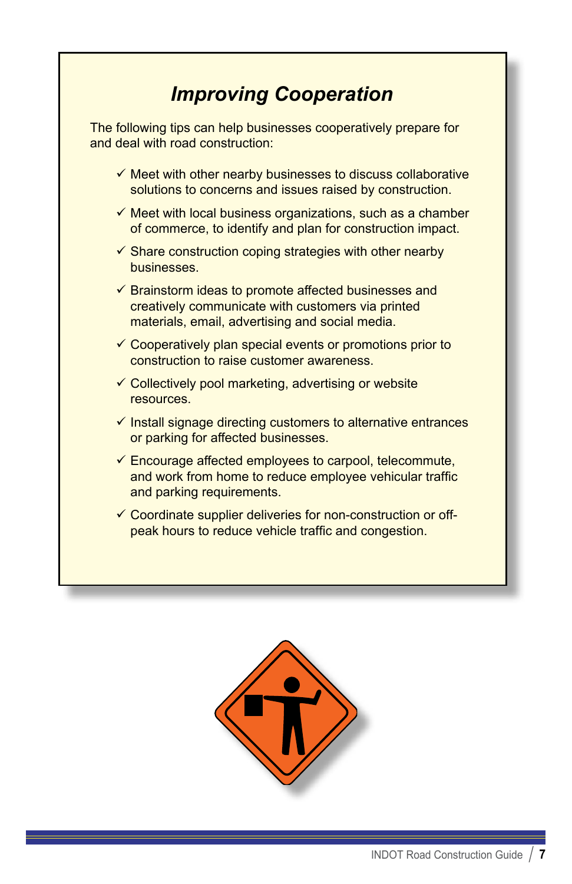## *Improving Cooperation*

The following tips can help businesses cooperatively prepare for and deal with road construction:

- $\checkmark$  Meet with other nearby businesses to discuss collaborative solutions to concerns and issues raised by construction.
- $\checkmark$  Meet with local business organizations, such as a chamber of commerce, to identify and plan for construction impact.
- $\checkmark$  Share construction coping strategies with other nearby businesses.
- $\checkmark$  Brainstorm ideas to promote affected businesses and creatively communicate with customers via printed materials, email, advertising and social media.
- $\checkmark$  Cooperatively plan special events or promotions prior to construction to raise customer awareness.
- $\checkmark$  Collectively pool marketing, advertising or website resources.
- $\checkmark$  Install signage directing customers to alternative entrances or parking for affected businesses.
- $\checkmark$  Encourage affected employees to carpool, telecommute, and work from home to reduce employee vehicular traffic and parking requirements.
- $\checkmark$  Coordinate supplier deliveries for non-construction or offpeak hours to reduce vehicle traffic and congestion.

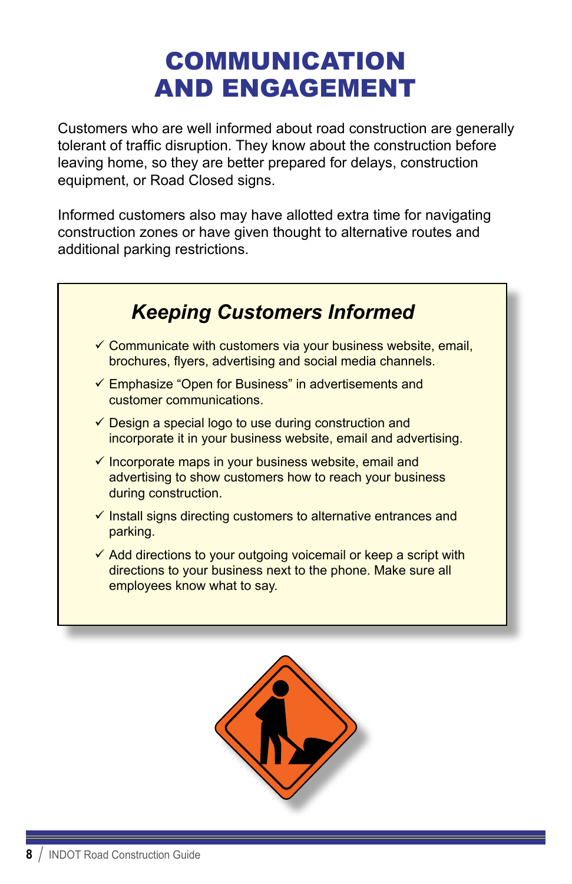# COMMUNICATION AND ENGAGEMENT

Customers who are well informed about road construction are generally tolerant of traffic disruption. They know about the construction before leaving home, so they are better prepared for delays, construction equipment, or Road Closed signs.

Informed customers also may have allotted extra time for navigating construction zones or have given thought to alternative routes and additional parking restrictions.

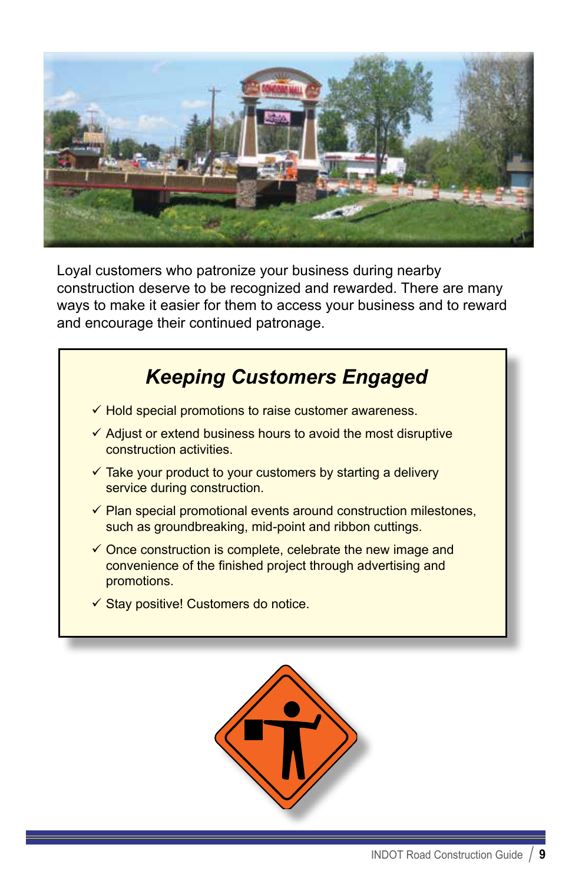

Loyal customers who patronize your business during nearby construction deserve to be recognized and rewarded. There are many ways to make it easier for them to access your business and to reward and encourage their continued patronage.



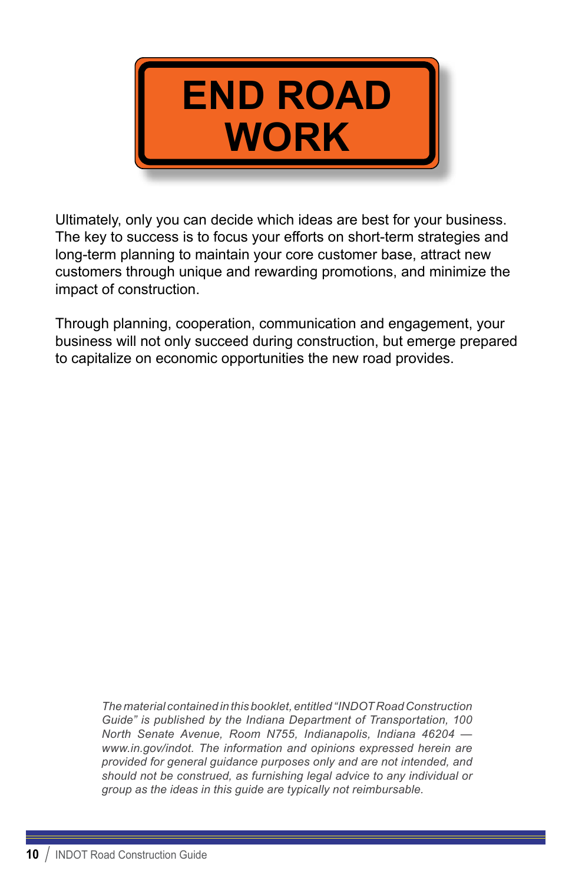

Ultimately, only you can decide which ideas are best for your business. The key to success is to focus your efforts on short-term strategies and long-term planning to maintain your core customer base, attract new customers through unique and rewarding promotions, and minimize the impact of construction.

Through planning, cooperation, communication and engagement, your business will not only succeed during construction, but emerge prepared to capitalize on economic opportunities the new road provides.

*The material contained in this booklet, entitled "INDOT Road Construction Guide" is published by the Indiana Department of Transportation, 100 North Senate Avenue, Room N755, Indianapolis, Indiana 46204 [www.in.gov/indot](http://www.in.gov/indot). The information and opinions expressed herein are provided for general guidance purposes only and are not intended, and should not be construed, as furnishing legal advice to any individual or group as the ideas in this guide are typically not reimbursable.*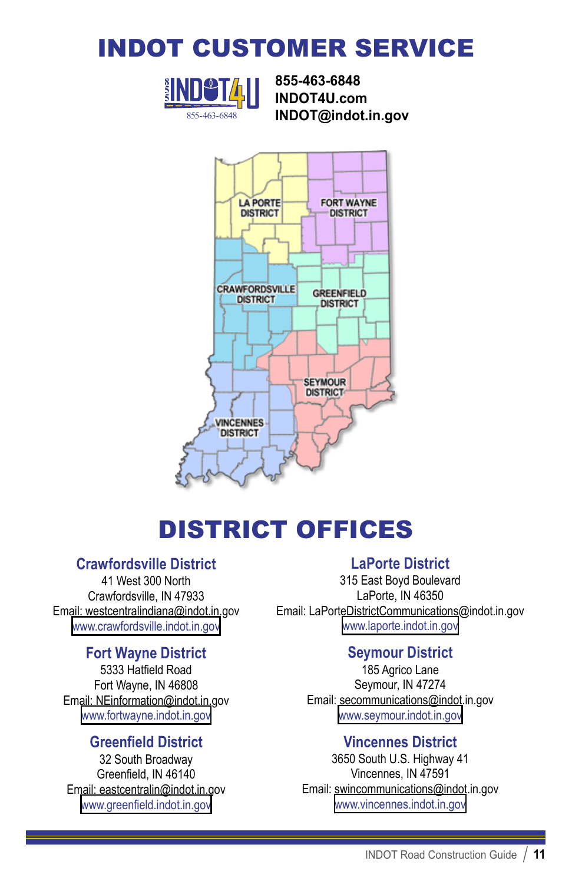## INDOT CUSTOMER SERVICE



**855-463-6848 INDOT4U.com** 855-463-6848 **INDOT@indot.in.gov**



## DISTRICT OFFICES

#### **Crawfordsville District**

41 West 300 North Crawfordsville, IN 47933 Email: westcentralindiana@indot.in.gov www.crawfordsville.indot.in.gov

#### **Fort Wayne District**

5333 Hatfield Road Fort Wayne, IN 46808 Email: NEinformation@indot.in.gov www.fortwayne.indot.in.gov

#### **Greenfield District**

32 South Broadway Greenfield, IN 46140 Email: eastcentralin@indot.in.gov www.greenfield.indot.in.gov

#### **LaPorte District**

315 East Boyd Boulevard LaPorte, IN 46350 Email: LaPorteDistrictCommunications@indot.in.gov www.laporte.indot.in.gov

#### **Seymour District**

185 Agrico Lane Seymour, IN 47274 Email: secommunications@indot.in.gov www.seymour.indot.in.gov

#### **Vincennes District**

3650 South U.S. Highway 41 Vincennes, IN 47591 Email: swincommunications@indot.in.gov www.vincennes.indot.in.gov